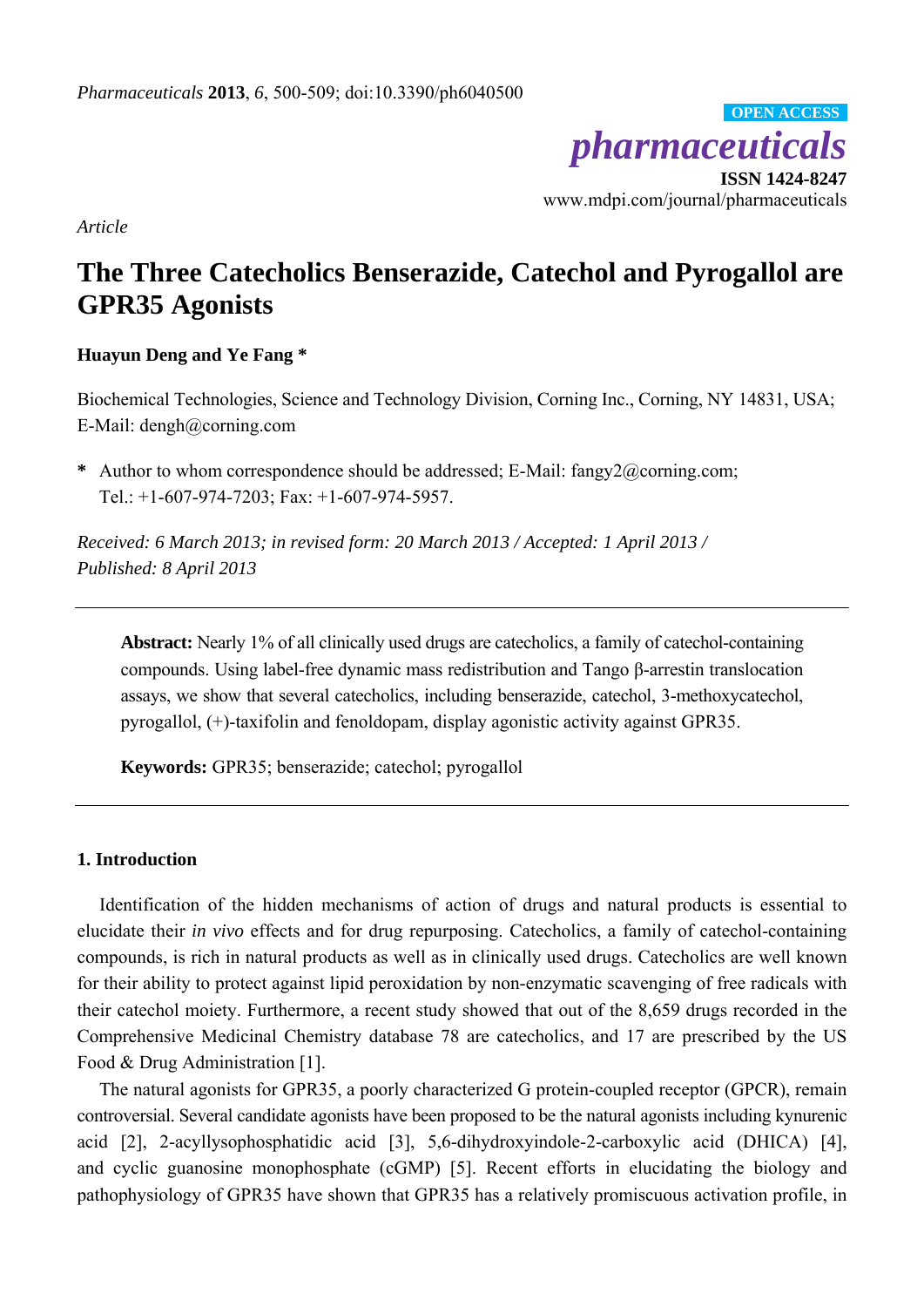*pharmaceuticals*  **ISSN 1424-8247**  www.mdpi.com/journal/pharmaceuticals **OPEN ACCESS**

*Article* 

# **The Three Catecholics Benserazide, Catechol and Pyrogallol are GPR35 Agonists**

# **Huayun Deng and Ye Fang \***

Biochemical Technologies, Science and Technology Division, Corning Inc., Corning, NY 14831, USA; E-Mail: dengh@corning.com

**\*** Author to whom correspondence should be addressed; E-Mail: fangy2@corning.com; Tel.: +1-607-974-7203; Fax: +1-607-974-5957.

*Received: 6 March 2013; in revised form: 20 March 2013 / Accepted: 1 April 2013 / Published: 8 April 2013* 

**Abstract:** Nearly 1% of all clinically used drugs are catecholics, a family of catechol-containing compounds. Using label-free dynamic mass redistribution and Tango β-arrestin translocation assays, we show that several catecholics, including benserazide, catechol, 3-methoxycatechol, pyrogallol, (+)-taxifolin and fenoldopam, display agonistic activity against GPR35.

**Keywords:** GPR35; benserazide; catechol; pyrogallol

## **1. Introduction**

Identification of the hidden mechanisms of action of drugs and natural products is essential to elucidate their *in vivo* effects and for drug repurposing. Catecholics, a family of catechol-containing compounds, is rich in natural products as well as in clinically used drugs. Catecholics are well known for their ability to protect against lipid peroxidation by non-enzymatic scavenging of free radicals with their catechol moiety. Furthermore, a recent study showed that out of the 8,659 drugs recorded in the Comprehensive Medicinal Chemistry database 78 are catecholics, and 17 are prescribed by the US Food & Drug Administration [1].

The natural agonists for GPR35, a poorly characterized G protein-coupled receptor (GPCR), remain controversial. Several candidate agonists have been proposed to be the natural agonists including kynurenic acid [2], 2-acyllysophosphatidic acid [3], 5,6-dihydroxyindole-2-carboxylic acid (DHICA) [4], and cyclic guanosine monophosphate (cGMP) [5]. Recent efforts in elucidating the biology and pathophysiology of GPR35 have shown that GPR35 has a relatively promiscuous activation profile, in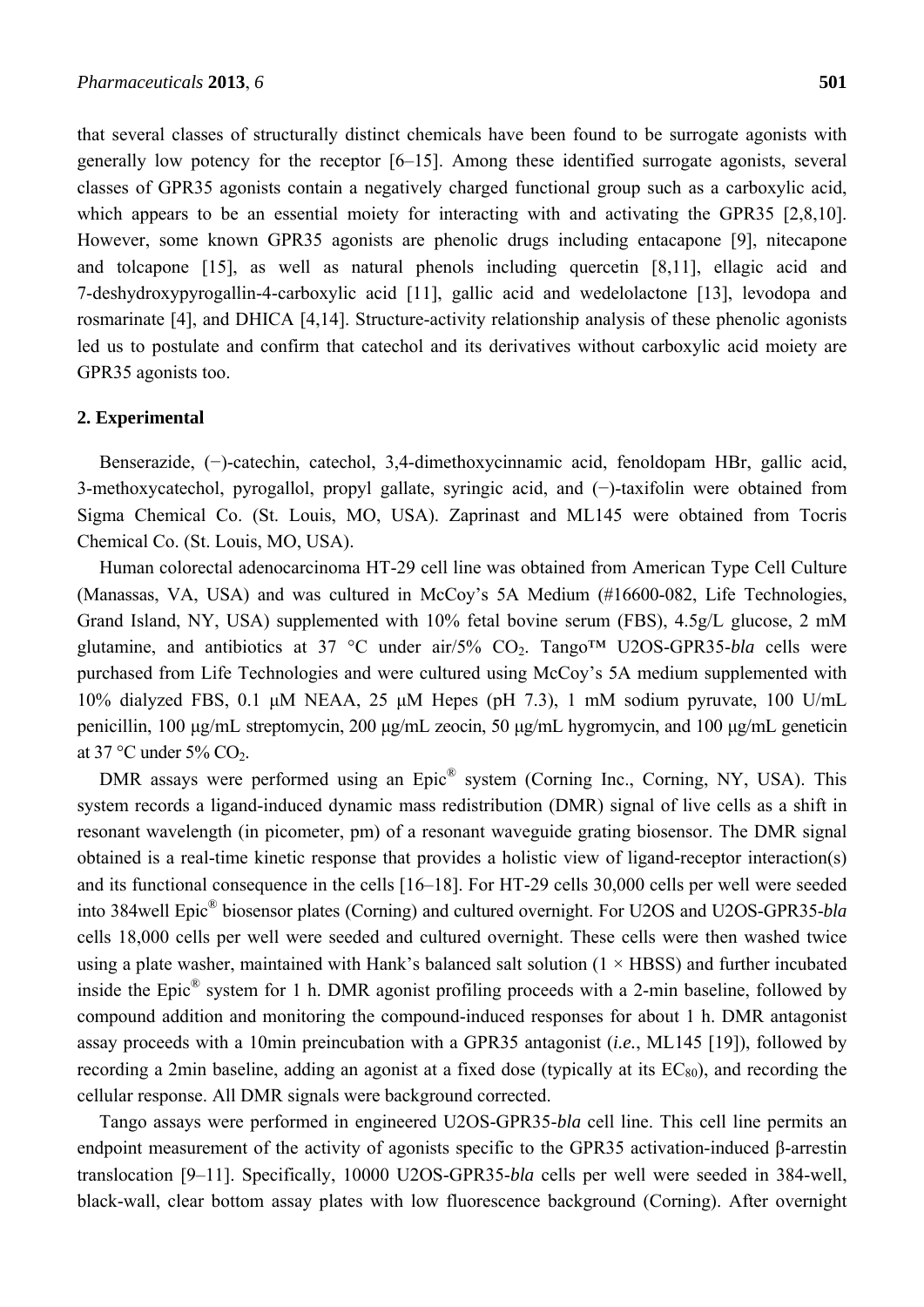that several classes of structurally distinct chemicals have been found to be surrogate agonists with generally low potency for the receptor [6–15]. Among these identified surrogate agonists, several classes of GPR35 agonists contain a negatively charged functional group such as a carboxylic acid, which appears to be an essential moiety for interacting with and activating the GPR35 [2,8,10]. However, some known GPR35 agonists are phenolic drugs including entacapone [9], nitecapone and tolcapone [15], as well as natural phenols including quercetin [8,11], ellagic acid and 7-deshydroxypyrogallin-4-carboxylic acid [11], gallic acid and wedelolactone [13], levodopa and rosmarinate [4], and DHICA [4,14]. Structure-activity relationship analysis of these phenolic agonists led us to postulate and confirm that catechol and its derivatives without carboxylic acid moiety are GPR35 agonists too.

#### **2. Experimental**

Benserazide, (−)-catechin, catechol, 3,4-dimethoxycinnamic acid, fenoldopam HBr, gallic acid, 3-methoxycatechol, pyrogallol, propyl gallate, syringic acid, and (−)-taxifolin were obtained from Sigma Chemical Co. (St. Louis, MO, USA). Zaprinast and ML145 were obtained from Tocris Chemical Co. (St. Louis, MO, USA).

Human colorectal adenocarcinoma HT-29 cell line was obtained from American Type Cell Culture (Manassas, VA, USA) and was cultured in McCoy's 5A Medium (#16600-082, Life Technologies, Grand Island, NY, USA) supplemented with 10% fetal bovine serum (FBS), 4.5g/L glucose, 2 mM glutamine, and antibiotics at 37 °C under air/5% CO2. Tango™ U2OS-GPR35-*bla* cells were purchased from Life Technologies and were cultured using McCoy's 5A medium supplemented with 10% dialyzed FBS, 0.1 μM NEAA, 25 μM Hepes (pH 7.3), 1 mM sodium pyruvate, 100 U/mL penicillin, 100 μg/mL streptomycin, 200 μg/mL zeocin, 50 μg/mL hygromycin, and 100 μg/mL geneticin at 37 °C under 5% CO<sub>2</sub>.

DMR assays were performed using an Epic<sup>®</sup> system (Corning Inc., Corning, NY, USA). This system records a ligand-induced dynamic mass redistribution (DMR) signal of live cells as a shift in resonant wavelength (in picometer, pm) of a resonant waveguide grating biosensor. The DMR signal obtained is a real-time kinetic response that provides a holistic view of ligand-receptor interaction(s) and its functional consequence in the cells [16–18]. For HT-29 cells 30,000 cells per well were seeded into 384well Epic® biosensor plates (Corning) and cultured overnight. For U2OS and U2OS-GPR35-*bla* cells 18,000 cells per well were seeded and cultured overnight. These cells were then washed twice using a plate washer, maintained with Hank's balanced salt solution  $(1 \times HBSS)$  and further incubated inside the Epic® system for 1 h. DMR agonist profiling proceeds with a 2-min baseline, followed by compound addition and monitoring the compound-induced responses for about 1 h. DMR antagonist assay proceeds with a 10min preincubation with a GPR35 antagonist (*i.e.*, ML145 [19]), followed by recording a 2min baseline, adding an agonist at a fixed dose (typically at its  $EC_{80}$ ), and recording the cellular response. All DMR signals were background corrected.

Tango assays were performed in engineered U2OS-GPR35-*bla* cell line. This cell line permits an endpoint measurement of the activity of agonists specific to the GPR35 activation-induced β-arrestin translocation [9–11]. Specifically, 10000 U2OS-GPR35-*bla* cells per well were seeded in 384-well, black-wall, clear bottom assay plates with low fluorescence background (Corning). After overnight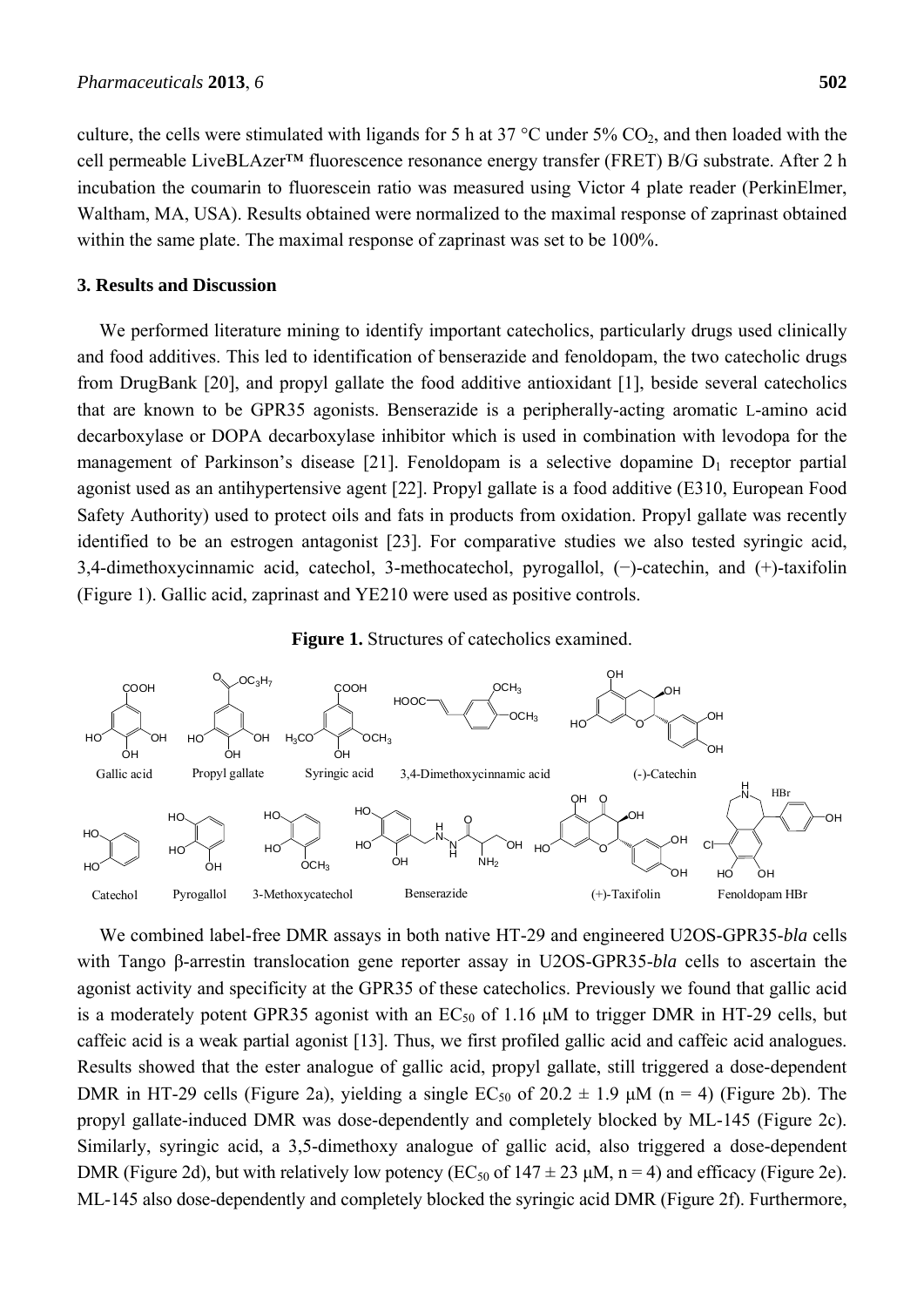culture, the cells were stimulated with ligands for 5 h at 37 °C under 5% CO2, and then loaded with the cell permeable LiveBLAzer™ fluorescence resonance energy transfer (FRET) B/G substrate. After 2 h incubation the coumarin to fluorescein ratio was measured using Victor 4 plate reader (PerkinElmer, Waltham, MA, USA). Results obtained were normalized to the maximal response of zaprinast obtained within the same plate. The maximal response of zaprinast was set to be 100%.

#### **3. Results and Discussion**

We performed literature mining to identify important catecholics, particularly drugs used clinically and food additives. This led to identification of benserazide and fenoldopam, the two catecholic drugs from DrugBank [20], and propyl gallate the food additive antioxidant [1], beside several catecholics that are known to be GPR35 agonists. Benserazide is a peripherally-acting aromatic L-amino acid decarboxylase or DOPA decarboxylase inhibitor which is used in combination with levodopa for the management of Parkinson's disease [21]. Fenoldopam is a selective dopamine  $D_1$  receptor partial agonist used as an antihypertensive agent [22]. Propyl gallate is a food additive (E310, European Food Safety Authority) used to protect oils and fats in products from oxidation. Propyl gallate was recently identified to be an estrogen antagonist [23]. For comparative studies we also tested syringic acid, 3,4-dimethoxycinnamic acid, catechol, 3-methocatechol, pyrogallol, (−)-catechin, and (+)-taxifolin (Figure 1). Gallic acid, zaprinast and YE210 were used as positive controls.

### **Figure 1.** Structures of catecholics examined.



We combined label-free DMR assays in both native HT-29 and engineered U2OS-GPR35-*bla* cells with Tango β-arrestin translocation gene reporter assay in U2OS-GPR35-*bla* cells to ascertain the agonist activity and specificity at the GPR35 of these catecholics. Previously we found that gallic acid is a moderately potent GPR35 agonist with an  $EC_{50}$  of 1.16  $\mu$ M to trigger DMR in HT-29 cells, but caffeic acid is a weak partial agonist [13]. Thus, we first profiled gallic acid and caffeic acid analogues. Results showed that the ester analogue of gallic acid, propyl gallate, still triggered a dose-dependent DMR in HT-29 cells (Figure 2a), yielding a single  $EC_{50}$  of  $20.2 \pm 1.9$   $\mu$ M (n = 4) (Figure 2b). The propyl gallate-induced DMR was dose-dependently and completely blocked by ML-145 (Figure 2c). Similarly, syringic acid, a 3,5-dimethoxy analogue of gallic acid, also triggered a dose-dependent DMR (Figure 2d), but with relatively low potency (EC<sub>50</sub> of  $147 \pm 23$  µM, n = 4) and efficacy (Figure 2e). ML-145 also dose-dependently and completely blocked the syringic acid DMR (Figure 2f). Furthermore,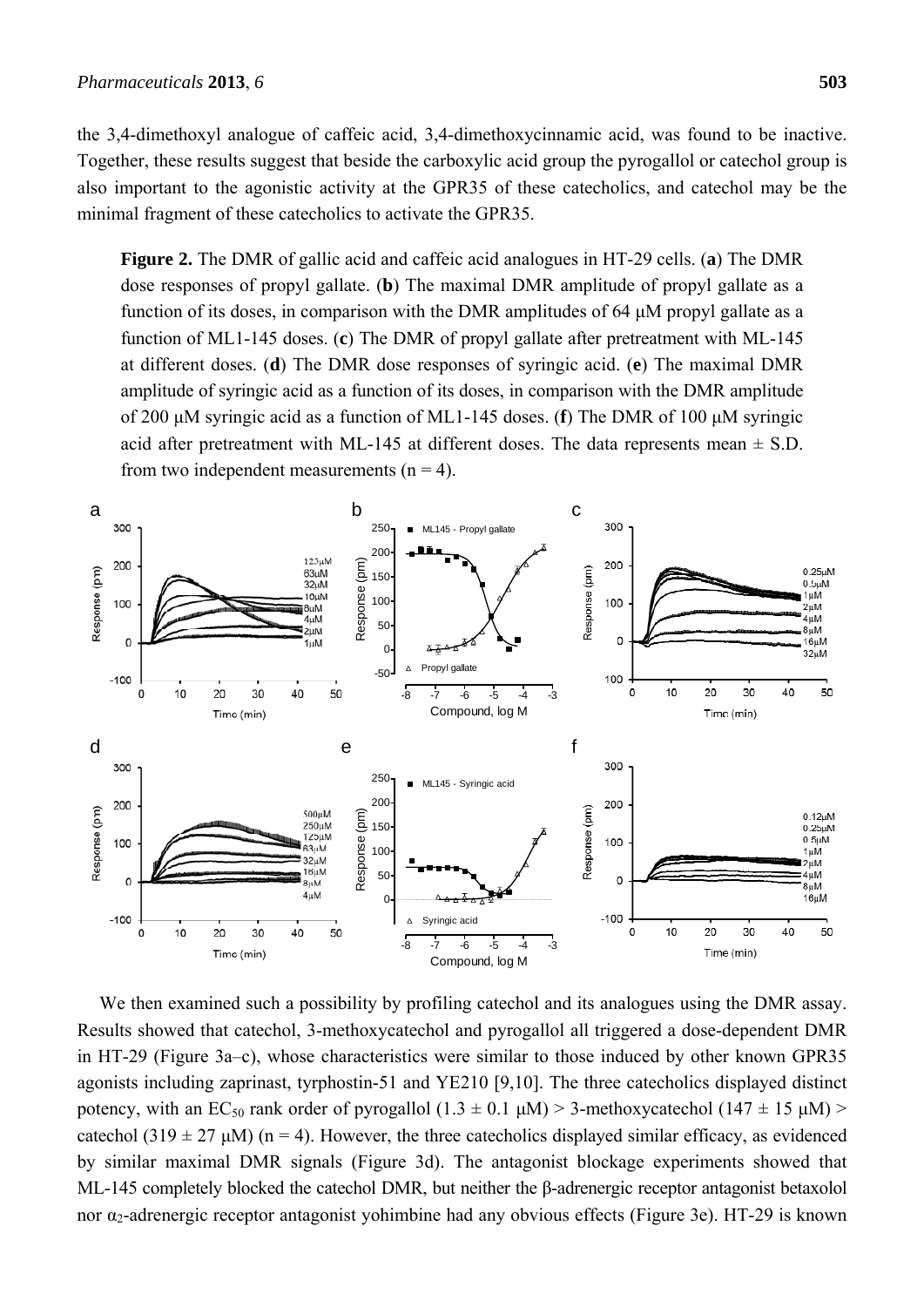the 3,4-dimethoxyl analogue of caffeic acid, 3,4-dimethoxycinnamic acid, was found to be inactive. Together, these results suggest that beside the carboxylic acid group the pyrogallol or catechol group is also important to the agonistic activity at the GPR35 of these catecholics, and catechol may be the minimal fragment of these catecholics to activate the GPR35.

**Figure 2.** The DMR of gallic acid and caffeic acid analogues in HT-29 cells. (**a**) The DMR dose responses of propyl gallate. (**b**) The maximal DMR amplitude of propyl gallate as a function of its doses, in comparison with the DMR amplitudes of 64 μM propyl gallate as a function of ML1-145 doses. (**c**) The DMR of propyl gallate after pretreatment with ML-145 at different doses. (**d**) The DMR dose responses of syringic acid. (**e**) The maximal DMR amplitude of syringic acid as a function of its doses, in comparison with the DMR amplitude of 200 μM syringic acid as a function of ML1-145 doses. (**f**) The DMR of 100 μM syringic acid after pretreatment with ML-145 at different doses. The data represents mean  $\pm$  S.D. from two independent measurements  $(n = 4)$ .



We then examined such a possibility by profiling catechol and its analogues using the DMR assay. Results showed that catechol, 3-methoxycatechol and pyrogallol all triggered a dose-dependent DMR in HT-29 (Figure 3a–c), whose characteristics were similar to those induced by other known GPR35 agonists including zaprinast, tyrphostin-51 and YE210 [9,10]. The three catecholics displayed distinct potency, with an EC<sub>50</sub> rank order of pyrogallol  $(1.3 \pm 0.1 \mu M) > 3$ -methoxycatechol  $(147 \pm 15 \mu M)$ catechol (319  $\pm$  27 µM) (n = 4). However, the three catecholics displayed similar efficacy, as evidenced by similar maximal DMR signals (Figure 3d). The antagonist blockage experiments showed that ML-145 completely blocked the catechol DMR, but neither the β-adrenergic receptor antagonist betaxolol nor  $α_2$ -adrenergic receptor antagonist yohimbine had any obvious effects (Figure 3e). HT-29 is known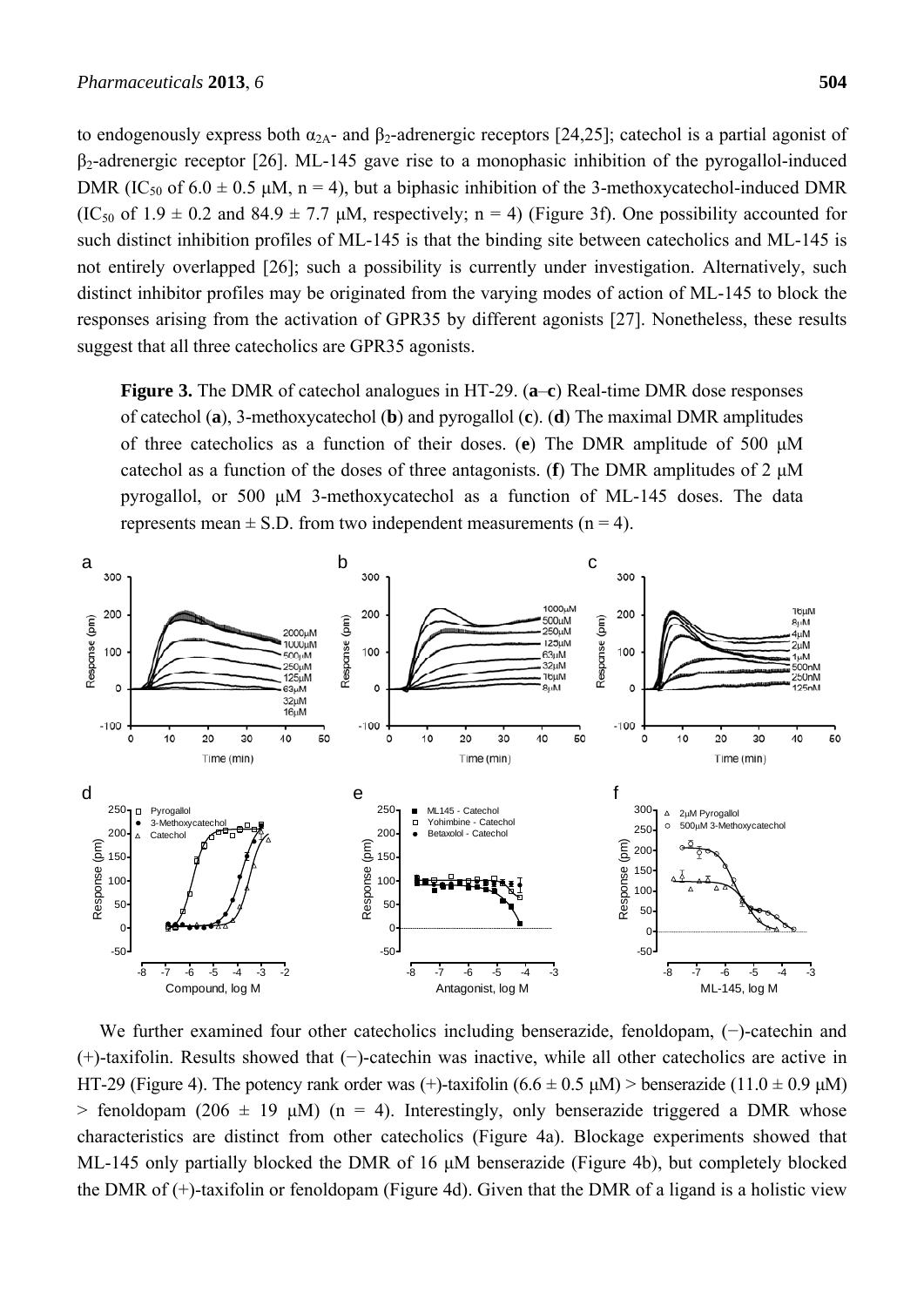to endogenously express both  $\alpha_{2A}$ - and  $\beta_2$ -adrenergic receptors [24,25]; catechol is a partial agonist of  $\beta_2$ -adrenergic receptor [26]. ML-145 gave rise to a monophasic inhibition of the pyrogallol-induced DMR (IC<sub>50</sub> of  $6.0 \pm 0.5$   $\mu$ M, n = 4), but a biphasic inhibition of the 3-methoxycatechol-induced DMR  $(IC_{50}$  of  $1.9 \pm 0.2$  and  $84.9 \pm 7.7$   $\mu$ M, respectively; n = 4) (Figure 3f). One possibility accounted for such distinct inhibition profiles of ML-145 is that the binding site between catecholics and ML-145 is not entirely overlapped [26]; such a possibility is currently under investigation. Alternatively, such distinct inhibitor profiles may be originated from the varying modes of action of ML-145 to block the responses arising from the activation of GPR35 by different agonists [27]. Nonetheless, these results suggest that all three catecholics are GPR35 agonists.

**Figure 3.** The DMR of catechol analogues in HT-29. (**a**–**c**) Real-time DMR dose responses of catechol (**a**), 3-methoxycatechol (**b**) and pyrogallol (**c**). (**d**) The maximal DMR amplitudes of three catecholics as a function of their doses. (**e**) The DMR amplitude of 500 μM catechol as a function of the doses of three antagonists. (**f**) The DMR amplitudes of 2 μM pyrogallol, or 500 μM 3-methoxycatechol as a function of ML-145 doses. The data represents mean  $\pm$  S.D. from two independent measurements (n = 4).



We further examined four other catecholics including benserazide, fenoldopam, (−)-catechin and (+)-taxifolin. Results showed that (−)-catechin was inactive, while all other catecholics are active in HT-29 (Figure 4). The potency rank order was (+)-taxifolin  $(6.6 \pm 0.5 \text{ µ})$  > benserazide (11.0  $\pm$  0.9  $\mu$ M)  $>$  fenoldopam (206  $\pm$  19  $\mu$ M) (n = 4). Interestingly, only benserazide triggered a DMR whose characteristics are distinct from other catecholics (Figure 4a). Blockage experiments showed that ML-145 only partially blocked the DMR of 16 μM benserazide (Figure 4b), but completely blocked the DMR of (+)-taxifolin or fenoldopam (Figure 4d). Given that the DMR of a ligand is a holistic view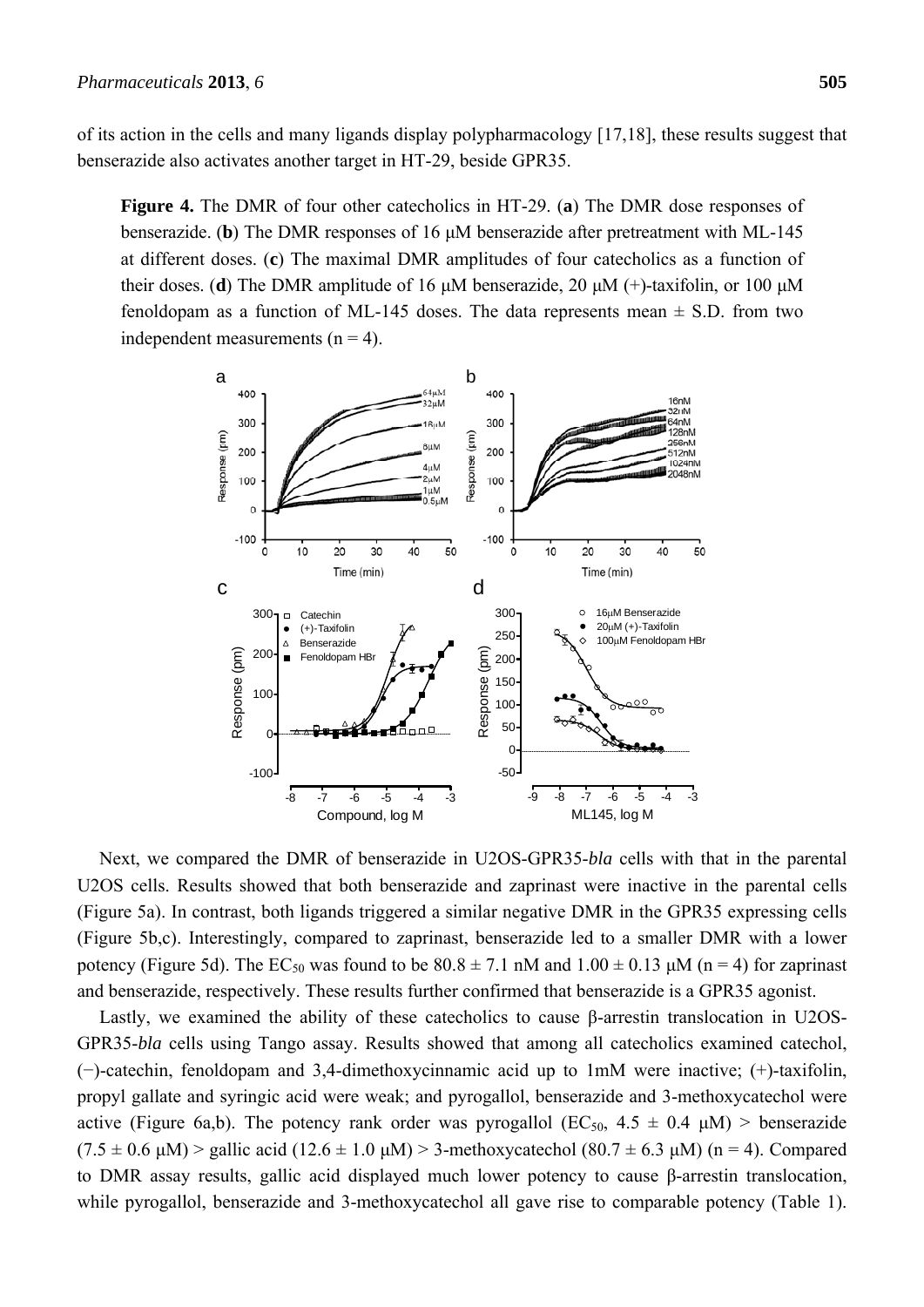of its action in the cells and many ligands display polypharmacology [17,18], these results suggest that benserazide also activates another target in HT-29, beside GPR35.

**Figure 4.** The DMR of four other catecholics in HT-29. (**a**) The DMR dose responses of benserazide. (**b**) The DMR responses of 16 μM benserazide after pretreatment with ML-145 at different doses. (**c**) The maximal DMR amplitudes of four catecholics as a function of their doses. (**d**) The DMR amplitude of 16 μM benserazide, 20 μM (+)-taxifolin, or 100 μM fenoldopam as a function of ML-145 doses. The data represents mean  $\pm$  S.D. from two independent measurements  $(n = 4)$ .



Next, we compared the DMR of benserazide in U2OS-GPR35-*bla* cells with that in the parental U2OS cells. Results showed that both benserazide and zaprinast were inactive in the parental cells (Figure 5a). In contrast, both ligands triggered a similar negative DMR in the GPR35 expressing cells (Figure 5b,c). Interestingly, compared to zaprinast, benserazide led to a smaller DMR with a lower potency (Figure 5d). The EC<sub>50</sub> was found to be  $80.8 \pm 7.1$  nM and  $1.00 \pm 0.13$   $\mu$ M (n = 4) for zaprinast and benserazide, respectively. These results further confirmed that benserazide is a GPR35 agonist.

Lastly, we examined the ability of these catecholics to cause β-arrestin translocation in U2OS-GPR35-*bla* cells using Tango assay. Results showed that among all catecholics examined catechol, (−)-catechin, fenoldopam and 3,4-dimethoxycinnamic acid up to 1mM were inactive; (+)-taxifolin, propyl gallate and syringic acid were weak; and pyrogallol, benserazide and 3-methoxycatechol were active (Figure 6a,b). The potency rank order was pyrogallol (EC<sub>50</sub>,  $4.5 \pm 0.4 \mu M$ ) > benserazide  $(7.5 \pm 0.6 \text{ µ})$  > gallic acid  $(12.6 \pm 1.0 \text{ µ})$  > 3-methoxycatechol  $(80.7 \pm 6.3 \text{ µ})$  (n = 4). Compared to DMR assay results, gallic acid displayed much lower potency to cause β-arrestin translocation, while pyrogallol, benserazide and 3-methoxycatechol all gave rise to comparable potency (Table 1).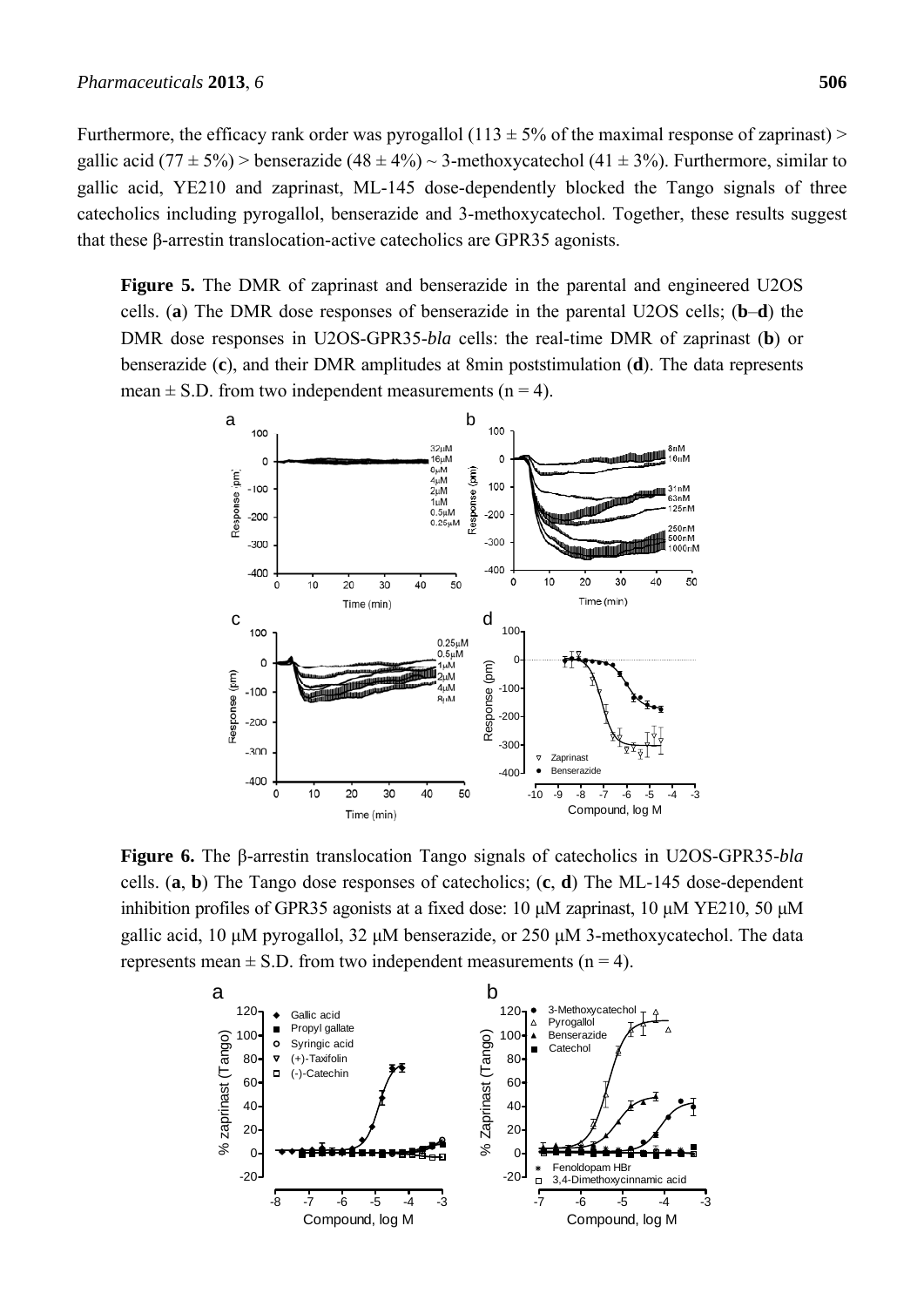Furthermore, the efficacy rank order was pyrogallol (113  $\pm$  5% of the maximal response of zaprinast) > gallic acid (77  $\pm$  5%) > benserazide (48  $\pm$  4%) ~ 3-methoxycatechol (41  $\pm$  3%). Furthermore, similar to gallic acid, YE210 and zaprinast, ML-145 dose-dependently blocked the Tango signals of three catecholics including pyrogallol, benserazide and 3-methoxycatechol. Together, these results suggest that these β-arrestin translocation-active catecholics are GPR35 agonists.

**Figure 5.** The DMR of zaprinast and benserazide in the parental and engineered U2OS cells. (**a**) The DMR dose responses of benserazide in the parental U2OS cells; (**b**–**d**) the DMR dose responses in U2OS-GPR35-*bla* cells: the real-time DMR of zaprinast (**b**) or benserazide (**c**), and their DMR amplitudes at 8min poststimulation (**d**). The data represents mean  $\pm$  S.D. from two independent measurements (n = 4).



**Figure 6.** The β-arrestin translocation Tango signals of catecholics in U2OS-GPR35-*bla* cells. (**a**, **b**) The Tango dose responses of catecholics; (**c**, **d**) The ML-145 dose-dependent inhibition profiles of GPR35 agonists at a fixed dose: 10 μM zaprinast, 10 μM YE210, 50 μM gallic acid, 10 μM pyrogallol, 32 μM benserazide, or 250 μM 3-methoxycatechol. The data represents mean  $\pm$  S.D. from two independent measurements (n = 4).

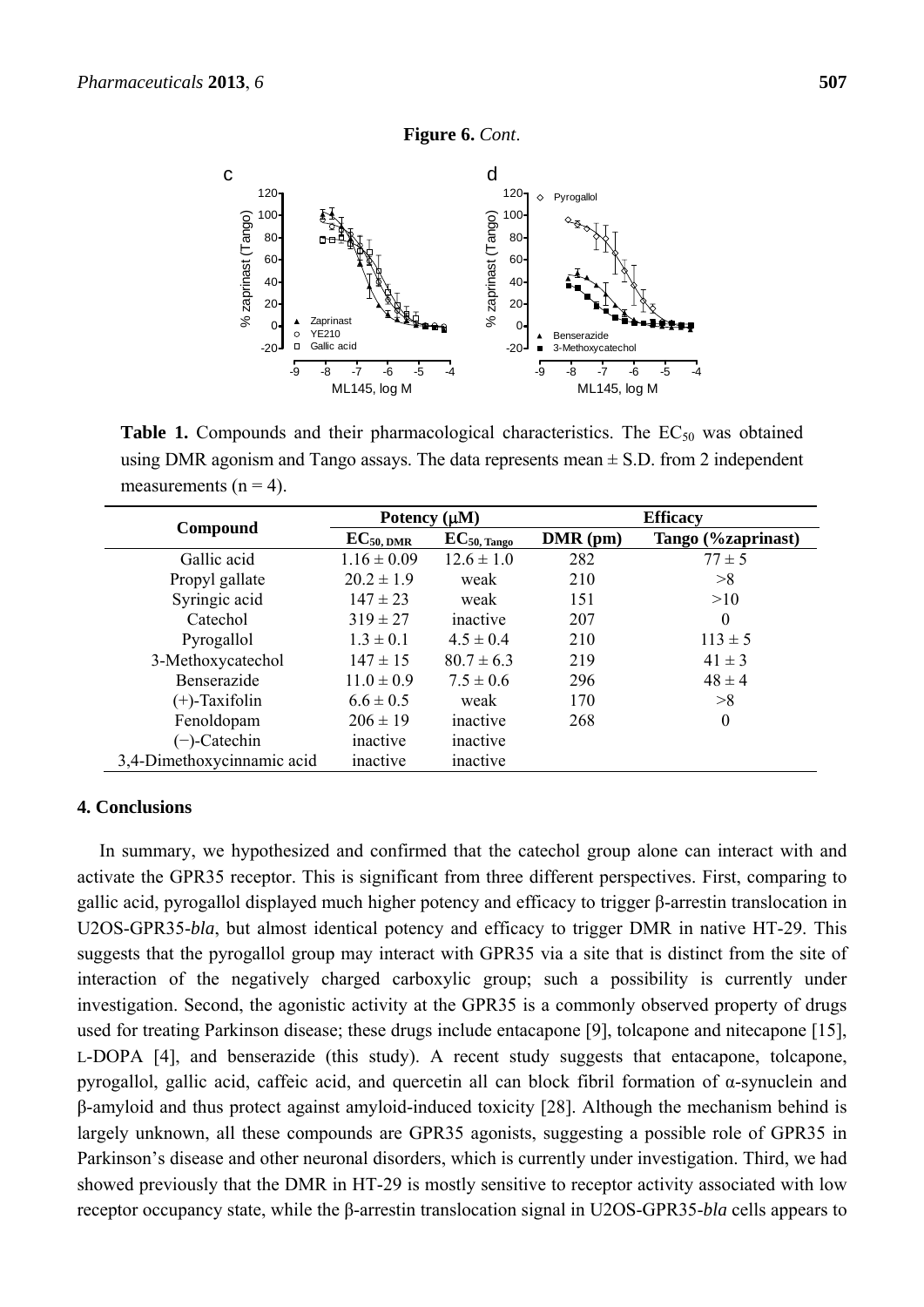

**Table 1.** Compounds and their pharmacological characteristics. The  $EC_{50}$  was obtained using DMR agonism and Tango assays. The data represents mean  $\pm$  S.D. from 2 independent measurements  $(n = 4)$ .

| Compound                   | Potency $(\mu M)$ |                         | <b>Efficacy</b> |                    |
|----------------------------|-------------------|-------------------------|-----------------|--------------------|
|                            | $EC_{50, DMR}$    | $EC_{50, \text{Tange}}$ | $DMR$ (pm)      | Tango (%zaprinast) |
| Gallic acid                | $1.16 \pm 0.09$   | $12.6 \pm 1.0$          | 282             | $77 \pm 5$         |
| Propyl gallate             | $20.2 \pm 1.9$    | weak                    | 210             | >8                 |
| Syringic acid              | $147 \pm 23$      | weak                    | 151             | >10                |
| Catechol                   | $319 \pm 27$      | inactive                | 207             | $\Omega$           |
| Pyrogallol                 | $1.3 \pm 0.1$     | $4.5 \pm 0.4$           | 210             | $113 \pm 5$        |
| 3-Methoxycatechol          | $147 \pm 15$      | $80.7 \pm 6.3$          | 219             | $41 \pm 3$         |
| Benserazide                | $11.0 \pm 0.9$    | $7.5 \pm 0.6$           | 296             | $48 \pm 4$         |
| $(+)$ -Taxifolin           | $6.6 \pm 0.5$     | weak                    | 170             | >8                 |
| Fenoldopam                 | $206 \pm 19$      | inactive                | 268             | $\theta$           |
| $(-)$ -Catechin            | inactive          | inactive                |                 |                    |
| 3,4-Dimethoxycinnamic acid | inactive          | inactive                |                 |                    |

## **4. Conclusions**

In summary, we hypothesized and confirmed that the catechol group alone can interact with and activate the GPR35 receptor. This is significant from three different perspectives. First, comparing to gallic acid, pyrogallol displayed much higher potency and efficacy to trigger β-arrestin translocation in U2OS-GPR35-*bla*, but almost identical potency and efficacy to trigger DMR in native HT-29. This suggests that the pyrogallol group may interact with GPR35 via a site that is distinct from the site of interaction of the negatively charged carboxylic group; such a possibility is currently under investigation. Second, the agonistic activity at the GPR35 is a commonly observed property of drugs used for treating Parkinson disease; these drugs include entacapone [9], tolcapone and nitecapone [15], L-DOPA [4], and benserazide (this study). A recent study suggests that entacapone, tolcapone, pyrogallol, gallic acid, caffeic acid, and quercetin all can block fibril formation of α-synuclein and β-amyloid and thus protect against amyloid-induced toxicity [28]. Although the mechanism behind is largely unknown, all these compounds are GPR35 agonists, suggesting a possible role of GPR35 in Parkinson's disease and other neuronal disorders, which is currently under investigation. Third, we had showed previously that the DMR in HT-29 is mostly sensitive to receptor activity associated with low receptor occupancy state, while the β-arrestin translocation signal in U2OS-GPR35-*bla* cells appears to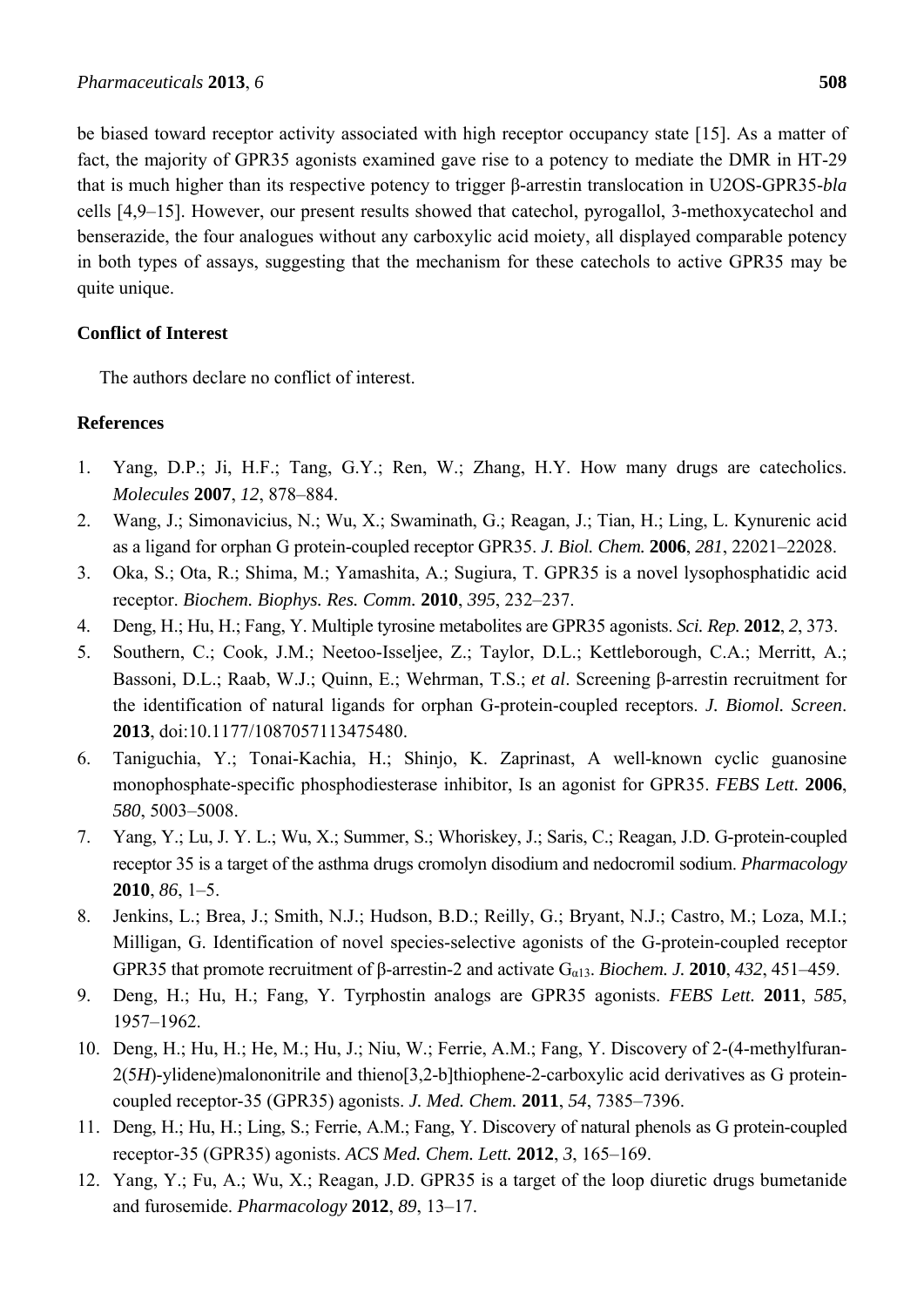be biased toward receptor activity associated with high receptor occupancy state [15]. As a matter of fact, the majority of GPR35 agonists examined gave rise to a potency to mediate the DMR in HT-29 that is much higher than its respective potency to trigger β-arrestin translocation in U2OS-GPR35-*bla* cells [4,9–15]. However, our present results showed that catechol, pyrogallol, 3-methoxycatechol and benserazide, the four analogues without any carboxylic acid moiety, all displayed comparable potency in both types of assays, suggesting that the mechanism for these catechols to active GPR35 may be quite unique.

# **Conflict of Interest**

The authors declare no conflict of interest.

# **References**

- 1. Yang, D.P.; Ji, H.F.; Tang, G.Y.; Ren, W.; Zhang, H.Y. How many drugs are catecholics. *Molecules* **2007**, *12*, 878–884.
- 2. Wang, J.; Simonavicius, N.; Wu, X.; Swaminath, G.; Reagan, J.; Tian, H.; Ling, L. Kynurenic acid as a ligand for orphan G protein-coupled receptor GPR35. *J. Biol. Chem.* **2006**, *281*, 22021–22028.
- 3. Oka, S.; Ota, R.; Shima, M.; Yamashita, A.; Sugiura, T. GPR35 is a novel lysophosphatidic acid receptor. *Biochem. Biophys. Res. Comm.* **2010**, *395*, 232–237.
- 4. Deng, H.; Hu, H.; Fang, Y. Multiple tyrosine metabolites are GPR35 agonists. *Sci. Rep.* **2012**, *2*, 373.
- 5. Southern, C.; Cook, J.M.; Neetoo-Isseljee, Z.; Taylor, D.L.; Kettleborough, C.A.; Merritt, A.; Bassoni, D.L.; Raab, W.J.; Quinn, E.; Wehrman, T.S.; *et al*. Screening β-arrestin recruitment for the identification of natural ligands for orphan G-protein-coupled receptors. *J. Biomol. Screen*. **2013**, doi:10.1177/1087057113475480.
- 6. Taniguchia, Y.; Tonai-Kachia, H.; Shinjo, K. Zaprinast, A well-known cyclic guanosine monophosphate-specific phosphodiesterase inhibitor, Is an agonist for GPR35. *FEBS Lett.* **2006**, *580*, 5003–5008.
- 7. Yang, Y.; Lu, J. Y. L.; Wu, X.; Summer, S.; Whoriskey, J.; Saris, C.; Reagan, J.D. G-protein-coupled receptor 35 is a target of the asthma drugs cromolyn disodium and nedocromil sodium. *Pharmacology* **2010**, *86*, 1–5.
- 8. Jenkins, L.; Brea, J.; Smith, N.J.; Hudson, B.D.; Reilly, G.; Bryant, N.J.; Castro, M.; Loza, M.I.; Milligan, G. Identification of novel species-selective agonists of the G-protein-coupled receptor GPR35 that promote recruitment of β-arrestin-2 and activate Gα13. *Biochem. J.* **2010**, *432*, 451–459.
- 9. Deng, H.; Hu, H.; Fang, Y. Tyrphostin analogs are GPR35 agonists. *FEBS Lett.* **2011**, *585*, 1957–1962.
- 10. Deng, H.; Hu, H.; He, M.; Hu, J.; Niu, W.; Ferrie, A.M.; Fang, Y. Discovery of 2-(4-methylfuran-2(5*H*)-ylidene)malononitrile and thieno[3,2-b]thiophene-2-carboxylic acid derivatives as G proteincoupled receptor-35 (GPR35) agonists. *J. Med. Chem.* **2011**, *54*, 7385–7396.
- 11. Deng, H.; Hu, H.; Ling, S.; Ferrie, A.M.; Fang, Y. Discovery of natural phenols as G protein-coupled receptor-35 (GPR35) agonists. *ACS Med. Chem. Lett.* **2012**, *3*, 165–169.
- 12. Yang, Y.; Fu, A.; Wu, X.; Reagan, J.D. GPR35 is a target of the loop diuretic drugs bumetanide and furosemide. *Pharmacology* **2012**, *89*, 13–17.